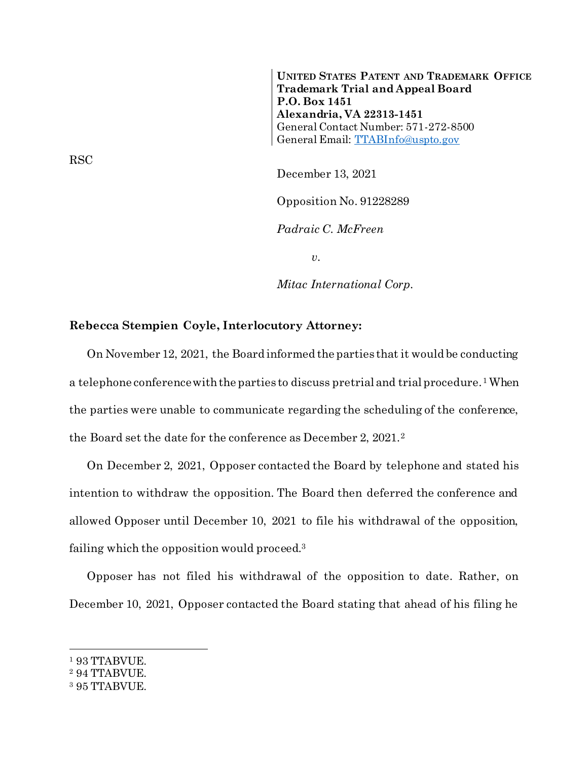**UNITED STATES PATENT AND TRADEMARK OFFICE Trademark Trial and Appeal Board P.O. Box 1451 Alexandria, VA 22313-1451** General Contact Number: 571-272-8500 General Email: [TTABInfo@uspto.gov](mailto:TTABInfo@uspto.gov)

December 13, 2021 Opposition No. 91228289 *Padraic C. McFreen*

*v.*

*Mitac International Corp.*

## **Rebecca Stempien Coyle, Interlocutory Attorney:**

On November 12, 2021, the Board informed the parties that it would be conducting a telephone conference with the parties to discuss pretrial and trial procedure.<sup>1</sup> When the parties were unable to communicate regarding the scheduling of the conference, the Board set the date for the conference as December 2, 2021.<sup>2</sup>

On December 2, 2021, Opposer contacted the Board by telephone and stated his intention to withdraw the opposition. The Board then deferred the conference and allowed Opposer until December 10, 2021 to file his withdrawal of the opposition, failing which the opposition would proceed.<sup>3</sup>

Opposer has not filed his withdrawal of the opposition to date. Rather, on December 10, 2021, Opposer contacted the Board stating that ahead of his filing he

l

RSC

<sup>1</sup> 93 TTABVUE.

<sup>2</sup> 94 TTABVUE.

<sup>3</sup> 95 TTABVUE.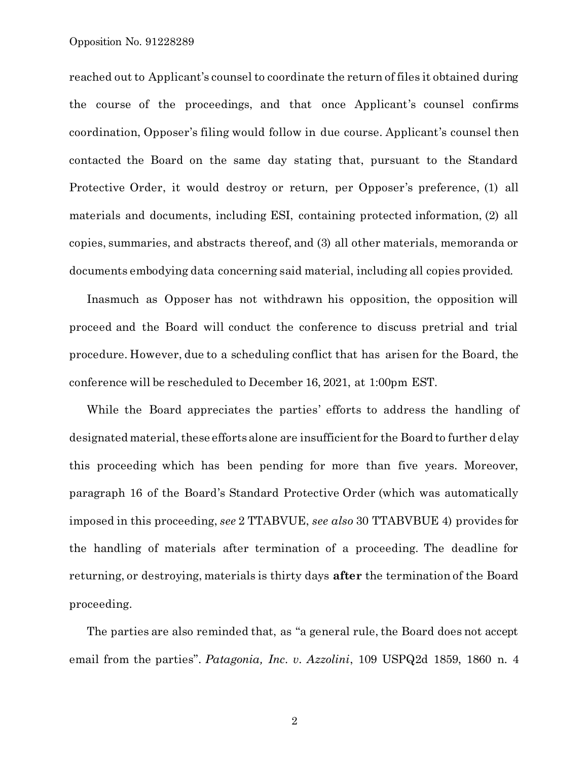reached out to Applicant's counsel to coordinate the return of files it obtained during the course of the proceedings, and that once Applicant's counsel confirms coordination, Opposer's filing would follow in due course. Applicant's counsel then contacted the Board on the same day stating that, pursuant to the Standard Protective Order, it would destroy or return, per Opposer's preference, (1) all materials and documents, including ESI, containing protected information, (2) all copies, summaries, and abstracts thereof, and (3) all other materials, memoranda or documents embodying data concerning said material, including all copies provided.

Inasmuch as Opposer has not withdrawn his opposition, the opposition will proceed and the Board will conduct the conference to discuss pretrial and trial procedure. However, due to a scheduling conflict that has arisen for the Board, the conference will be rescheduled to December 16, 2021, at 1:00pm EST.

While the Board appreciates the parties' efforts to address the handling of designated material, these efforts alone are insufficient for the Board to further delay this proceeding which has been pending for more than five years. Moreover, paragraph 16 of the Board's Standard Protective Order (which was automatically imposed in this proceeding, *see* 2 TTABVUE, *see also* 30 TTABVBUE 4) provides for the handling of materials after termination of a proceeding. The deadline for returning, or destroying, materials is thirty days **after** the termination of the Board proceeding.

The parties are also reminded that, as "a general rule, the Board does not accept email from the parties". *Patagonia, Inc. v. Azzolini*, 109 USPQ2d 1859, 1860 n. 4

2